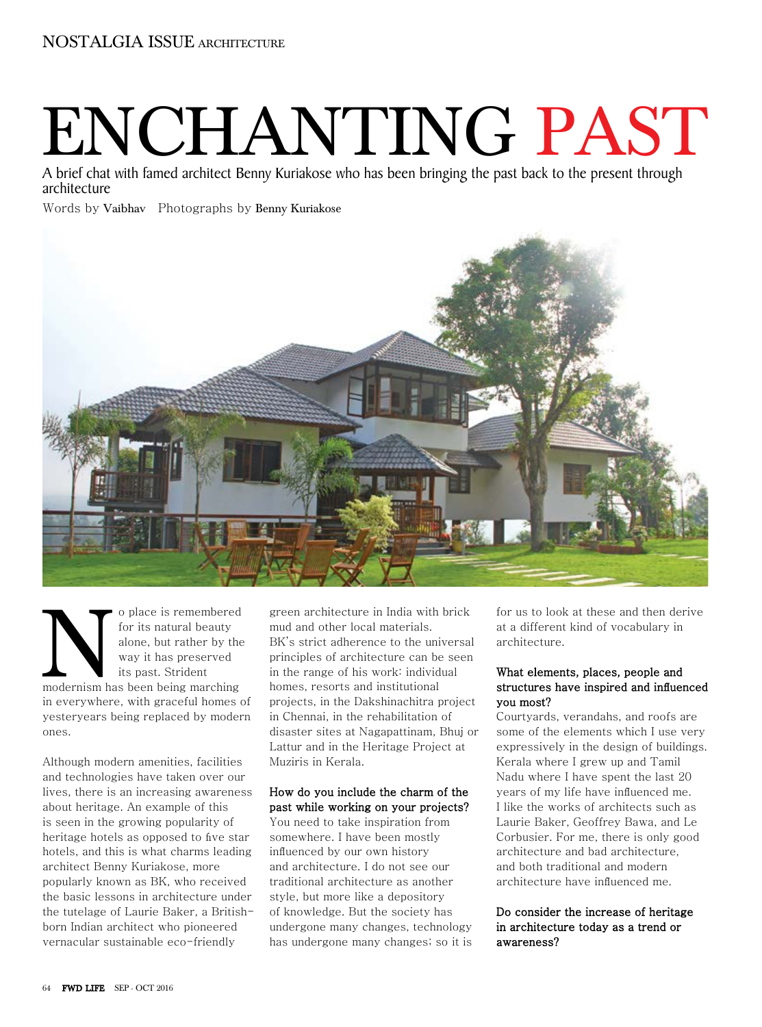# ENCHANTING PAST

A brief chat with famed architect Benny Kuriakose who has been bringing the past back to the present through architecture

# Words by Vaibhav Photographs by Benny Kuriakose



o place is remembered for its natural beauty alone, but rather by the way it has preserved its past. Strident o place is remembered<br>for its natural beauty<br>alone, but rather by the<br>way it has preserved<br>its past. Strident<br>modernism has been being marching in everywhere, with graceful homes of yesteryears being replaced by modern ones.

Although modern amenities, facilities and technologies have taken over our lives, there is an increasing awareness about heritage. An example of this is seen in the growing popularity of heritage hotels as opposed to five star hotels, and this is what charms leading architect Benny Kuriakose, more popularly known as BK, who received the basic lessons in architecture under the tutelage of Laurie Baker, a Britishborn Indian architect who pioneered vernacular sustainable eco-friendly

green architecture in India with brick mud and other local materials. BK's strict adherence to the universal principles of architecture can be seen in the range of his work: individual homes, resorts and institutional projects, in the Dakshinachitra project in Chennai, in the rehabilitation of disaster sites at Nagapattinam, Bhuj or Lattur and in the Heritage Project at Muziris in Kerala.

#### How do you include the charm of the past while working on your projects?

You need to take inspiration from somewhere. I have been mostly influenced by our own history and architecture. I do not see our traditional architecture as another style, but more like a depository of knowledge. But the society has undergone many changes, technology has undergone many changes; so it is for us to look at these and then derive at a different kind of vocabulary in architecture.

## What elements, places, people and structures have inspired and influenced you most?

Courtyards, verandahs, and roofs are some of the elements which I use very expressively in the design of buildings. Kerala where I grew up and Tamil Nadu where I have spent the last 20 years of my life have influenced me. I like the works of architects such as Laurie Baker, Geoffrey Bawa, and Le Corbusier. For me, there is only good architecture and bad architecture, and both traditional and modern architecture have influenced me.

# Do consider the increase of heritage in architecture today as a trend or awareness?